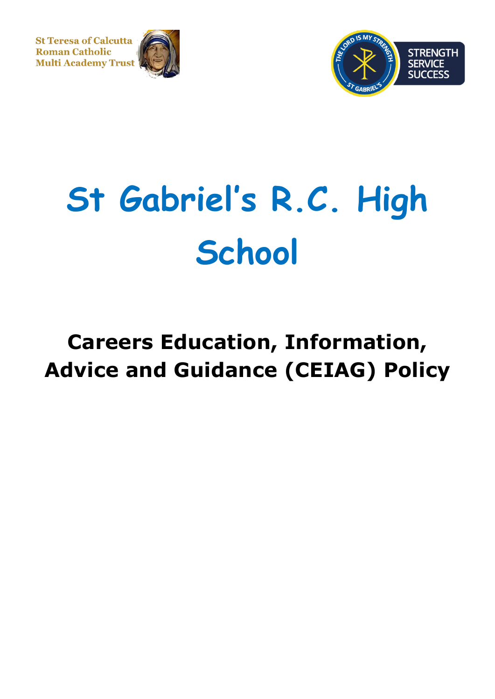**St Teresa of Calcutta Roman Catholic Multi Academy Trust** 





# **St Gabriel's R.C. High School**

# **Careers Education, Information, Advice and Guidance (CEIAG) Policy**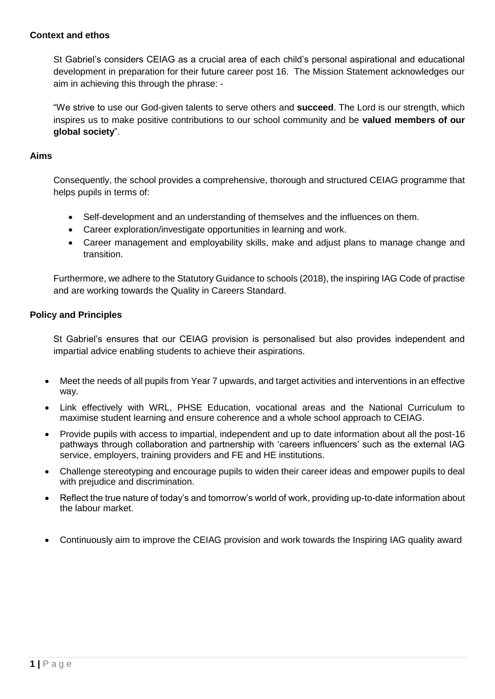#### **Context and ethos**

St Gabriel's considers CEIAG as a crucial area of each child's personal aspirational and educational development in preparation for their future career post 16. The Mission Statement acknowledges our aim in achieving this through the phrase: -

"We strive to use our God-given talents to serve others and **succeed**. The Lord is our strength, which inspires us to make positive contributions to our school community and be **valued members of our global society**".

#### **Aims**

Consequently, the school provides a comprehensive, thorough and structured CEIAG programme that helps pupils in terms of:

- Self-development and an understanding of themselves and the influences on them.
- Career exploration/investigate opportunities in learning and work.
- Career management and employability skills, make and adjust plans to manage change and transition.

Furthermore, we adhere to the Statutory Guidance to schools (2018), the inspiring IAG Code of practise and are working towards the Quality in Careers Standard.

#### **Policy and Principles**

St Gabriel's ensures that our CEIAG provision is personalised but also provides independent and impartial advice enabling students to achieve their aspirations.

- Meet the needs of all pupils from Year 7 upwards, and target activities and interventions in an effective way.
- Link effectively with WRL, PHSE Education, vocational areas and the National Curriculum to maximise student learning and ensure coherence and a whole school approach to CEIAG.
- Provide pupils with access to impartial, independent and up to date information about all the post-16 pathways through collaboration and partnership with 'careers influencers' such as the external IAG service, employers, training providers and FE and HE institutions.
- Challenge stereotyping and encourage pupils to widen their career ideas and empower pupils to deal with prejudice and discrimination.
- Reflect the true nature of today's and tomorrow's world of work, providing up-to-date information about the labour market.
- Continuously aim to improve the CEIAG provision and work towards the Inspiring IAG quality award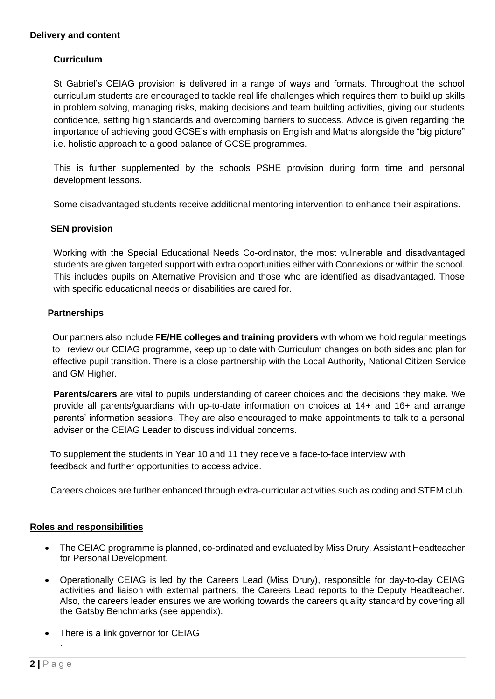#### **Delivery and content**

#### **Curriculum**

St Gabriel's CEIAG provision is delivered in a range of ways and formats. Throughout the school curriculum students are encouraged to tackle real life challenges which requires them to build up skills in problem solving, managing risks, making decisions and team building activities, giving our students confidence, setting high standards and overcoming barriers to success. Advice is given regarding the importance of achieving good GCSE's with emphasis on English and Maths alongside the "big picture" i.e. holistic approach to a good balance of GCSE programmes.

This is further supplemented by the schools PSHE provision during form time and personal development lessons.

Some disadvantaged students receive additional mentoring intervention to enhance their aspirations.

#### **SEN provision**

Working with the Special Educational Needs Co-ordinator, the most vulnerable and disadvantaged students are given targeted support with extra opportunities either with Connexions or within the school. This includes pupils on Alternative Provision and those who are identified as disadvantaged. Those with specific educational needs or disabilities are cared for.

#### **Partnerships**

Our partners also include **FE/HE colleges and training providers** with whom we hold regular meetings to review our CEIAG programme, keep up to date with Curriculum changes on both sides and plan for effective pupil transition. There is a close partnership with the Local Authority, National Citizen Service and GM Higher.

**Parents/carers** are vital to pupils understanding of career choices and the decisions they make. We provide all parents/guardians with up-to-date information on choices at 14+ and 16+ and arrange parents' information sessions. They are also encouraged to make appointments to talk to a personal adviser or the CEIAG Leader to discuss individual concerns.

 To supplement the students in Year 10 and 11 they receive a face-to-face interview with feedback and further opportunities to access advice.

Careers choices are further enhanced through extra-curricular activities such as coding and STEM club.

#### **Roles and responsibilities**

- The CEIAG programme is planned, co-ordinated and evaluated by Miss Drury, Assistant Headteacher for Personal Development.
- Operationally CEIAG is led by the Careers Lead (Miss Drury), responsible for day-to-day CEIAG activities and liaison with external partners; the Careers Lead reports to the Deputy Headteacher. Also, the careers leader ensures we are working towards the careers quality standard by covering all the Gatsby Benchmarks (see appendix).
- There is a link governor for CEIAG

.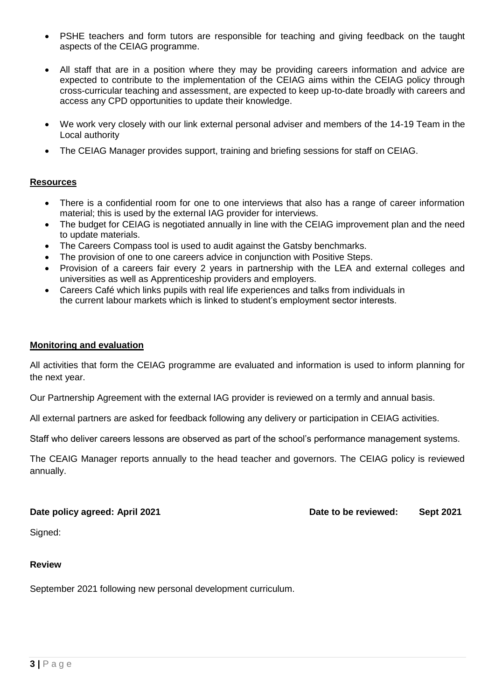- PSHE teachers and form tutors are responsible for teaching and giving feedback on the taught aspects of the CEIAG programme.
- All staff that are in a position where they may be providing careers information and advice are expected to contribute to the implementation of the CEIAG aims within the CEIAG policy through cross-curricular teaching and assessment, are expected to keep up-to-date broadly with careers and access any CPD opportunities to update their knowledge.
- We work very closely with our link external personal adviser and members of the 14-19 Team in the Local authority
- The CEIAG Manager provides support, training and briefing sessions for staff on CEIAG.

#### **Resources**

- There is a confidential room for one to one interviews that also has a range of career information material; this is used by the external IAG provider for interviews.
- The budget for CEIAG is negotiated annually in line with the CEIAG improvement plan and the need to update materials.
- The Careers Compass tool is used to audit against the Gatsby benchmarks.
- The provision of one to one careers advice in conjunction with Positive Steps.
- Provision of a careers fair every 2 years in partnership with the LEA and external colleges and universities as well as Apprenticeship providers and employers.
- Careers Café which links pupils with real life experiences and talks from individuals in the current labour markets which is linked to student's employment sector interests.

#### **Monitoring and evaluation**

All activities that form the CEIAG programme are evaluated and information is used to inform planning for the next year.

Our Partnership Agreement with the external IAG provider is reviewed on a termly and annual basis.

All external partners are asked for feedback following any delivery or participation in CEIAG activities.

Staff who deliver careers lessons are observed as part of the school's performance management systems.

The CEAIG Manager reports annually to the head teacher and governors. The CEIAG policy is reviewed annually.

**Date policy agreed: April 2021 Date to be reviewed: Sept 2021**

Signed:

#### **Review**

September 2021 following new personal development curriculum.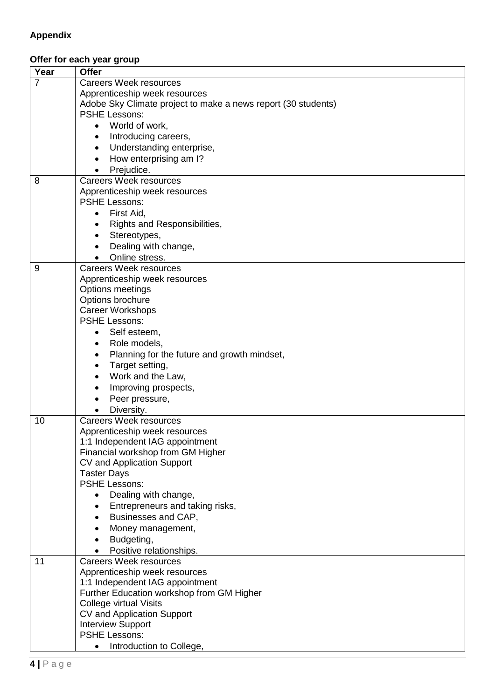## **Appendix**

### **Offer for each year group**

| Year           | <b>Offer</b>                                                    |
|----------------|-----------------------------------------------------------------|
| $\overline{7}$ | <b>Careers Week resources</b>                                   |
|                | Apprenticeship week resources                                   |
|                | Adobe Sky Climate project to make a news report (30 students)   |
|                | <b>PSHE Lessons:</b>                                            |
|                | • World of work,                                                |
|                | Introducing careers,<br>٠                                       |
|                | Understanding enterprise,<br>$\bullet$                          |
|                | How enterprising am I?<br>$\bullet$                             |
|                | Prejudice.                                                      |
| 8              | <b>Careers Week resources</b>                                   |
|                | Apprenticeship week resources                                   |
|                | <b>PSHE Lessons:</b>                                            |
|                | First Aid,<br>$\bullet$                                         |
|                | Rights and Responsibilities,<br>$\bullet$                       |
|                | Stereotypes,<br>$\bullet$                                       |
|                | Dealing with change,                                            |
|                | Online stress.                                                  |
| 9              | <b>Careers Week resources</b>                                   |
|                | Apprenticeship week resources                                   |
|                | <b>Options meetings</b>                                         |
|                | Options brochure                                                |
|                | <b>Career Workshops</b>                                         |
|                | <b>PSHE Lessons:</b>                                            |
|                | Self esteem,<br>$\bullet$                                       |
|                | Role models,<br>$\bullet$                                       |
|                | Planning for the future and growth mindset,                     |
|                | $\bullet$                                                       |
|                | Target setting,<br>$\bullet$                                    |
|                | Work and the Law,<br>$\bullet$                                  |
|                | Improving prospects,<br>$\bullet$                               |
|                | Peer pressure,                                                  |
|                | Diversity.                                                      |
| 10             | <b>Careers Week resources</b>                                   |
|                | Apprenticeship week resources                                   |
|                | 1:1 Independent IAG appointment                                 |
|                | Financial workshop from GM Higher<br>CV and Application Support |
|                | <b>Taster Days</b>                                              |
|                | <b>PSHE Lessons:</b>                                            |
|                | Dealing with change,                                            |
|                | Entrepreneurs and taking risks,                                 |
|                |                                                                 |
|                | Businesses and CAP,                                             |
|                | Money management,                                               |
|                | Budgeting,                                                      |
|                | Positive relationships.                                         |
| 11             | <b>Careers Week resources</b>                                   |
|                | Apprenticeship week resources                                   |
|                | 1:1 Independent IAG appointment                                 |
|                | Further Education workshop from GM Higher                       |
|                | <b>College virtual Visits</b>                                   |
|                | CV and Application Support                                      |
|                | <b>Interview Support</b><br><b>PSHE Lessons:</b>                |
|                |                                                                 |
|                | Introduction to College,<br>$\bullet$                           |